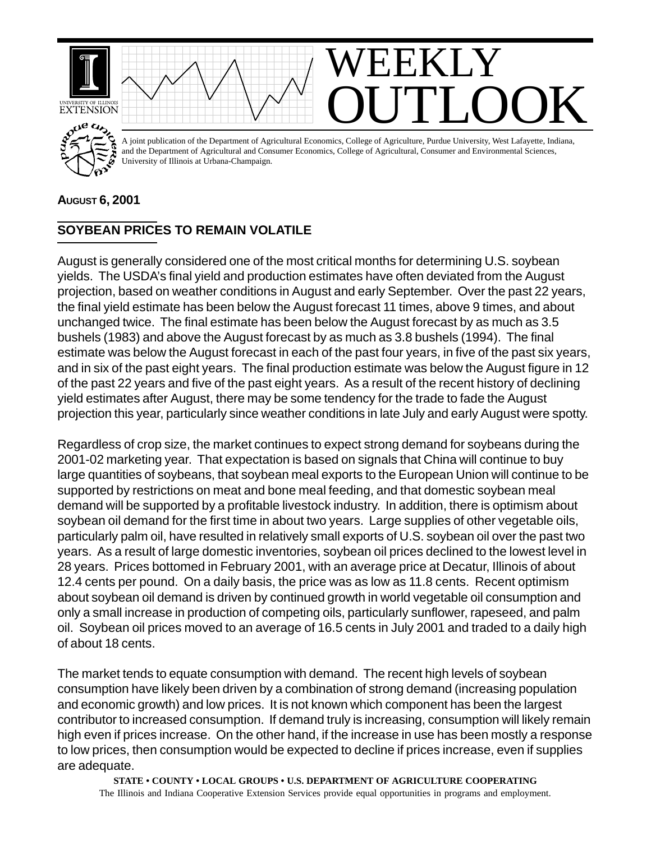

## **AUGUST 6, 2001**

## **SOYBEAN PRICES TO REMAIN VOLATILE**

August is generally considered one of the most critical months for determining U.S. soybean yields. The USDA's final yield and production estimates have often deviated from the August projection, based on weather conditions in August and early September. Over the past 22 years, the final yield estimate has been below the August forecast 11 times, above 9 times, and about unchanged twice. The final estimate has been below the August forecast by as much as 3.5 bushels (1983) and above the August forecast by as much as 3.8 bushels (1994). The final estimate was below the August forecast in each of the past four years, in five of the past six years, and in six of the past eight years. The final production estimate was below the August figure in 12 of the past 22 years and five of the past eight years. As a result of the recent history of declining yield estimates after August, there may be some tendency for the trade to fade the August projection this year, particularly since weather conditions in late July and early August were spotty.

Regardless of crop size, the market continues to expect strong demand for soybeans during the 2001-02 marketing year. That expectation is based on signals that China will continue to buy large quantities of soybeans, that soybean meal exports to the European Union will continue to be supported by restrictions on meat and bone meal feeding, and that domestic soybean meal demand will be supported by a profitable livestock industry. In addition, there is optimism about soybean oil demand for the first time in about two years. Large supplies of other vegetable oils, particularly palm oil, have resulted in relatively small exports of U.S. soybean oil over the past two years. As a result of large domestic inventories, soybean oil prices declined to the lowest level in 28 years. Prices bottomed in February 2001, with an average price at Decatur, Illinois of about 12.4 cents per pound. On a daily basis, the price was as low as 11.8 cents. Recent optimism about soybean oil demand is driven by continued growth in world vegetable oil consumption and only a small increase in production of competing oils, particularly sunflower, rapeseed, and palm oil. Soybean oil prices moved to an average of 16.5 cents in July 2001 and traded to a daily high of about 18 cents.

The market tends to equate consumption with demand. The recent high levels of soybean consumption have likely been driven by a combination of strong demand (increasing population and economic growth) and low prices. It is not known which component has been the largest contributor to increased consumption. If demand truly is increasing, consumption will likely remain high even if prices increase. On the other hand, if the increase in use has been mostly a response to low prices, then consumption would be expected to decline if prices increase, even if supplies are adequate.

**STATE • COUNTY • LOCAL GROUPS • U.S. DEPARTMENT OF AGRICULTURE COOPERATING** The Illinois and Indiana Cooperative Extension Services provide equal opportunities in programs and employment.